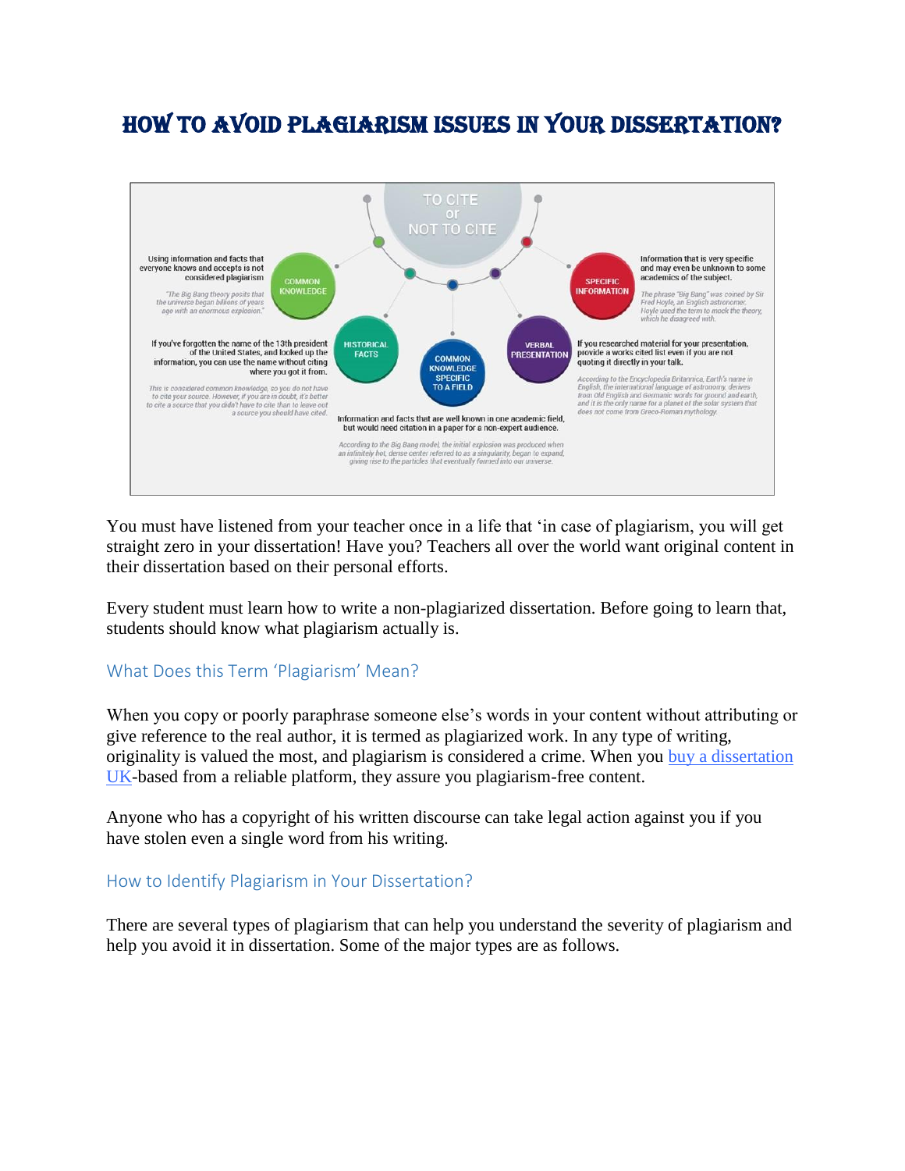# How to Avoid Plagiarism Issues in Your Dissertation?



You must have listened from your teacher once in a life that 'in case of plagiarism, you will get straight zero in your dissertation! Have you? Teachers all over the world want original content in their dissertation based on their personal efforts.

Every student must learn how to write a non-plagiarized dissertation. Before going to learn that, students should know what plagiarism actually is.

# What Does this Term 'Plagiarism' Mean?

When you copy or poorly paraphrase someone else's words in your content without attributing or give reference to the real author, it is termed as plagiarized work. In any type of writing, originality is valued the most, and plagiarism is considered a crime. When you [buy a dissertation](https://dissertationsky.co.uk/buy-dissertation)  [UK-](https://dissertationsky.co.uk/buy-dissertation)based from a reliable platform, they assure you plagiarism-free content.

Anyone who has a copyright of his written discourse can take legal action against you if you have stolen even a single word from his writing.

# How to Identify Plagiarism in Your Dissertation?

There are several types of plagiarism that can help you understand the severity of plagiarism and help you avoid it in dissertation. Some of the major types are as follows.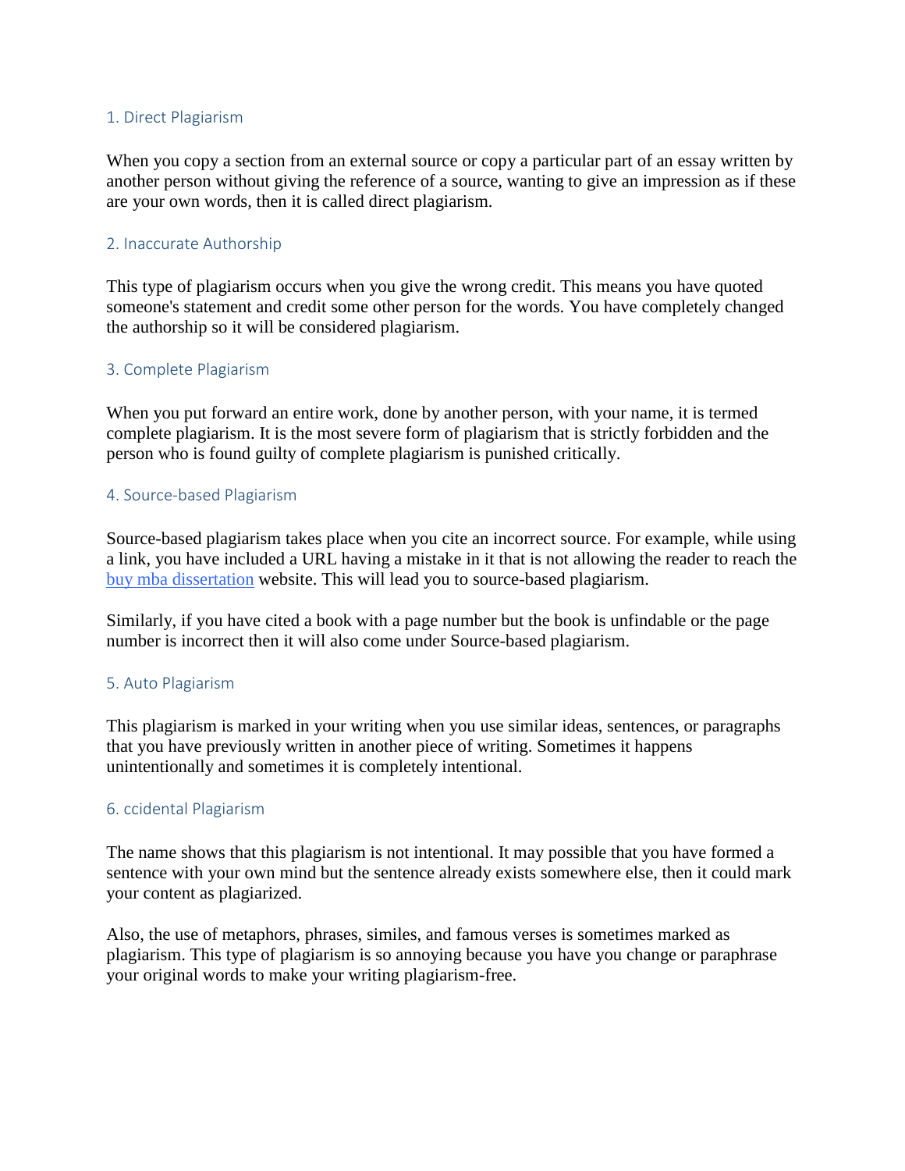#### 1. Direct Plagiarism

When you copy a section from an external source or copy a particular part of an essay written by another person without giving the reference of a source, wanting to give an impression as if these are your own words, then it is called direct plagiarism.

# 2. Inaccurate Authorship

This type of plagiarism occurs when you give the wrong credit. This means you have quoted someone's statement and credit some other person for the words. You have completely changed the authorship so it will be considered plagiarism.

# 3. Complete Plagiarism

When you put forward an entire work, done by another person, with your name, it is termed complete plagiarism. It is the most severe form of plagiarism that is strictly forbidden and the person who is found guilty of complete plagiarism is punished critically.

# 4. Source-based Plagiarism

Source-based plagiarism takes place when you cite an incorrect source. For example, while using a link, you have included a URL having a mistake in it that is not allowing the reader to reach the [buy mba dissertation](https://dissertationsky.co.uk/buy-mba-dissertation-service) website. This will lead you to source-based plagiarism.

Similarly, if you have cited a book with a page number but the book is unfindable or the page number is incorrect then it will also come under Source-based plagiarism.

# 5. Auto Plagiarism

This plagiarism is marked in your writing when you use similar ideas, sentences, or paragraphs that you have previously written in another piece of writing. Sometimes it happens unintentionally and sometimes it is completely intentional.

# 6. ccidental Plagiarism

The name shows that this plagiarism is not intentional. It may possible that you have formed a sentence with your own mind but the sentence already exists somewhere else, then it could mark your content as plagiarized.

Also, the use of metaphors, phrases, similes, and famous verses is sometimes marked as plagiarism. This type of plagiarism is so annoying because you have you change or paraphrase your original words to make your writing plagiarism-free.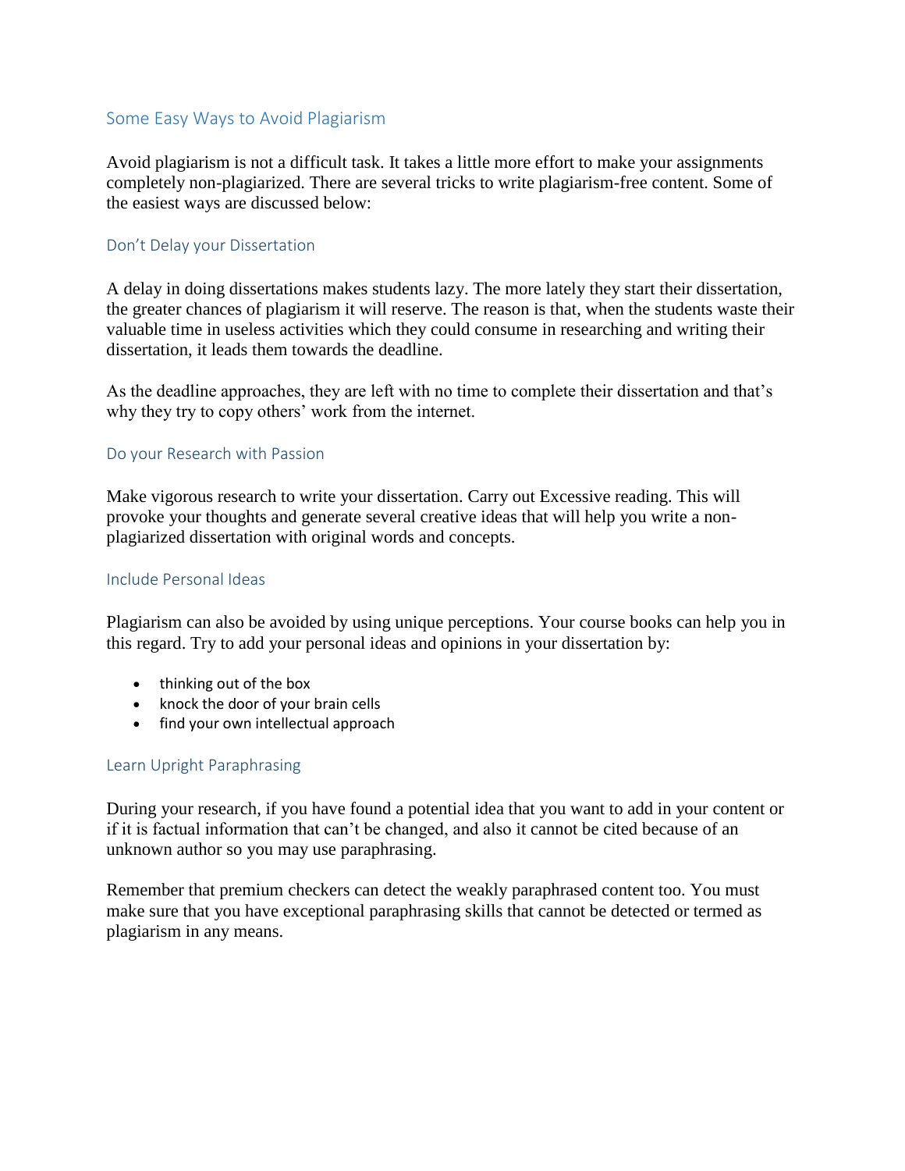# Some Easy Ways to Avoid Plagiarism

Avoid plagiarism is not a difficult task. It takes a little more effort to make your assignments completely non-plagiarized. There are several tricks to write plagiarism-free content. Some of the easiest ways are discussed below:

#### Don't Delay your Dissertation

A delay in doing dissertations makes students lazy. The more lately they start their dissertation, the greater chances of plagiarism it will reserve. The reason is that, when the students waste their valuable time in useless activities which they could consume in researching and writing their dissertation, it leads them towards the deadline.

As the deadline approaches, they are left with no time to complete their dissertation and that's why they try to copy others' work from the internet.

#### Do your Research with Passion

Make vigorous research to write your dissertation. Carry out Excessive reading. This will provoke your thoughts and generate several creative ideas that will help you write a nonplagiarized dissertation with original words and concepts.

# Include Personal Ideas

Plagiarism can also be avoided by using unique perceptions. Your course books can help you in this regard. Try to add your personal ideas and opinions in your dissertation by:

- thinking out of the box
- knock the door of your brain cells
- find your own intellectual approach

# Learn Upright Paraphrasing

During your research, if you have found a potential idea that you want to add in your content or if it is factual information that can't be changed, and also it cannot be cited because of an unknown author so you may use paraphrasing.

Remember that premium checkers can detect the weakly paraphrased content too. You must make sure that you have exceptional paraphrasing skills that cannot be detected or termed as plagiarism in any means.